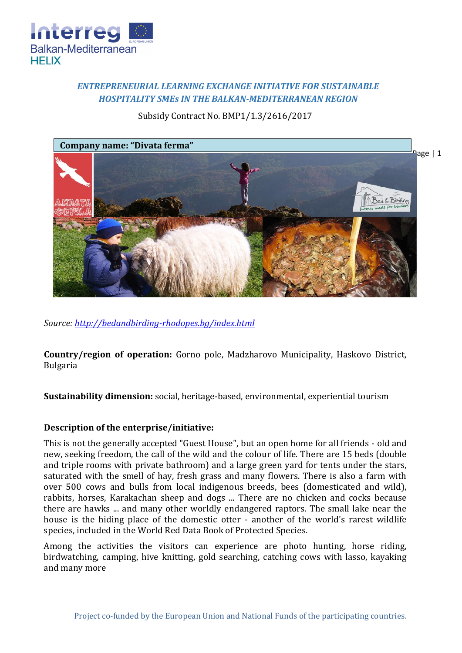

# *ENTREPRENEURIAL LEARNING EXCHANGE INITIATIVE FOR SUSTAINABLE HOSPITALITY SMEs IN THE BALKAN-MEDITERRANEAN REGION*

Subsidy Contract No. BMP1/1.3/2616/2017



*Source:<http://bedandbirding-rhodopes.bg/index.html>*

**Country/region of operation:** Gorno pole, Madzharovo Municipality, Haskovo District, Bulgaria

**Sustainability dimension:** social, heritage-based, environmental, experiential tourism

## **Description of the enterprise/initiative:**

This is not the generally accepted "Guest House", but an open home for all friends - old and new, seeking freedom, the call of the wild and the colour of life. There are 15 beds (double and triple rooms with private bathroom) and a large green yard for tents under the stars, saturated with the smell of hay, fresh grass and many flowers. There is also a farm with over 500 cows and bulls from local indigenous breeds, bees (domesticated and wild), rabbits, horses, Karakachan sheep and dogs ... There are no chicken and cocks because there are hawks ... and many other worldly endangered raptors. The small lake near the house is the hiding place of the domestic otter - another of the world's rarest wildlife species, included in the World Red Data Book of Protected Species.

Among the activities the visitors can experience are photo hunting, horse riding, birdwatching, camping, hive knitting, gold searching, catching cows with lasso, kayaking and many more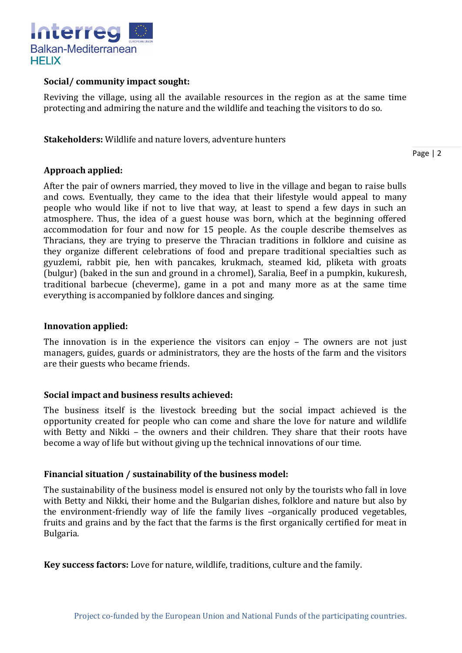

## **Social/ community impact sought:**

Reviving the village, using all the available resources in the region as at the same time protecting and admiring the nature and the wildlife and teaching the visitors to do so.

**Stakeholders:** Wildlife and nature lovers, adventure hunters

Page | 2

## **Approach applied:**

After the pair of owners married, they moved to live in the village and began to raise bulls and cows. Eventually, they came to the idea that their lifestyle would appeal to many people who would like if not to live that way, at least to spend a few days in such an atmosphere. Thus, the idea of a guest house was born, which at the beginning offered accommodation for four and now for 15 people. As the couple describe themselves as Thracians, they are trying to preserve the Thracian traditions in folklore and cuisine as they organize different celebrations of food and prepare traditional specialties such as gyuzlemi, rabbit pie, hen with pancakes, krukmach, steamed kid, pliketa with groats (bulgur) (baked in the sun and ground in a chromel), Saralia, Beef in a pumpkin, kukuresh, traditional barbecue (cheverme), game in a pot and many more as at the same time everything is accompanied by folklore dances and singing.

#### **Innovation applied:**

The innovation is in the experience the visitors can enjoy – The owners are not just managers, guides, guards or administrators, they are the hosts of the farm and the visitors are their guests who became friends.

## **Social impact and business results achieved:**

The business itself is the livestock breeding but the social impact achieved is the opportunity created for people who can come and share the love for nature and wildlife with Betty and Nikki – the owners and their children. They share that their roots have become a way of life but without giving up the technical innovations of our time.

#### **Financial situation / sustainability of the business model:**

The sustainability of the business model is ensured not only by the tourists who fall in love with Betty and Nikki, their home and the Bulgarian dishes, folklore and nature but also by the environment-friendly way of life the family lives –organically produced vegetables, fruits and grains and by the fact that the farms is the first organically certified for meat in Bulgaria.

**Key success factors:** Love for nature, wildlife, traditions, culture and the family.